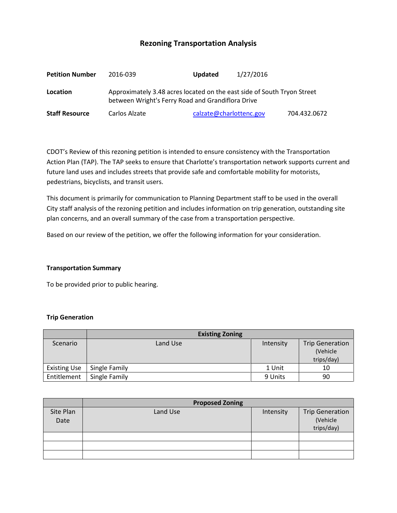# **Rezoning Transportation Analysis**

| <b>Petition Number</b> | 2016-039                                                                                                                     | <b>Updated</b>          | 1/27/2016 |              |  |  |
|------------------------|------------------------------------------------------------------------------------------------------------------------------|-------------------------|-----------|--------------|--|--|
| Location               | Approximately 3.48 acres located on the east side of South Tryon Street<br>between Wright's Ferry Road and Grandiflora Drive |                         |           |              |  |  |
| <b>Staff Resource</b>  | Carlos Alzate                                                                                                                | calzate@charlottenc.gov |           | 704.432.0672 |  |  |

CDOT's Review of this rezoning petition is intended to ensure consistency with the Transportation Action Plan (TAP). The TAP seeks to ensure that Charlotte's transportation network supports current and future land uses and includes streets that provide safe and comfortable mobility for motorists, pedestrians, bicyclists, and transit users.

This document is primarily for communication to Planning Department staff to be used in the overall City staff analysis of the rezoning petition and includes information on trip generation, outstanding site plan concerns, and an overall summary of the case from a transportation perspective.

Based on our review of the petition, we offer the following information for your consideration.

## **Transportation Summary**

To be provided prior to public hearing.

## **Trip Generation**

|                     | <b>Existing Zoning</b> |           |                        |
|---------------------|------------------------|-----------|------------------------|
| Scenario            | Land Use               | Intensity | <b>Trip Generation</b> |
|                     |                        |           | (Vehicle               |
|                     |                        |           | trips/day)             |
| <b>Existing Use</b> | Single Family          | 1 Unit    | 10                     |
| Entitlement         | Single Family          | 9 Units   | 90                     |

|                   | <b>Proposed Zoning</b> |           |                                                  |  |
|-------------------|------------------------|-----------|--------------------------------------------------|--|
| Site Plan<br>Date | Land Use               | Intensity | <b>Trip Generation</b><br>(Vehicle<br>trips/day) |  |
|                   |                        |           |                                                  |  |
|                   |                        |           |                                                  |  |
|                   |                        |           |                                                  |  |